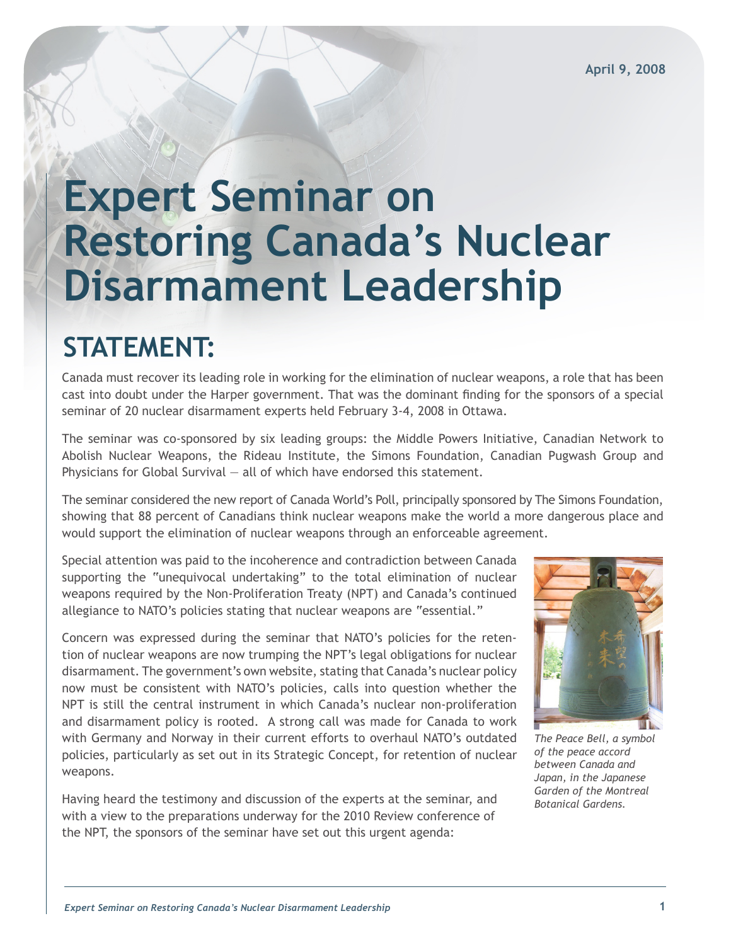# **Expert Seminar on Restoring Canada's Nuclear Disarmament Leadership**

# **STATEMENT:**

Canada must recover its leading role in working for the elimination of nuclear weapons, a role that has been cast into doubt under the Harper government. That was the dominant finding for the sponsors of a special seminar of 20 nuclear disarmament experts held February 3-4, 2008 in Ottawa.

The seminar was co-sponsored by six leading groups: the Middle Powers Initiative, Canadian Network to Abolish Nuclear Weapons, the Rideau Institute, the Simons Foundation, Canadian Pugwash Group and Physicians for Global Survival — all of which have endorsed this statement.

The seminar considered the new report of Canada World's Poll, principally sponsored by The Simons Foundation, showing that 88 percent of Canadians think nuclear weapons make the world a more dangerous place and would support the elimination of nuclear weapons through an enforceable agreement.

Special attention was paid to the incoherence and contradiction between Canada supporting the "unequivocal undertaking" to the total elimination of nuclear weapons required by the Non-Proliferation Treaty (NPT) and Canada's continued allegiance to NATO's policies stating that nuclear weapons are "essential."

Concern was expressed during the seminar that NATO's policies for the retention of nuclear weapons are now trumping the NPT's legal obligations for nuclear disarmament. The government's own website, stating that Canada's nuclear policy now must be consistent with NATO's policies, calls into question whether the NPT is still the central instrument in which Canada's nuclear non-proliferation and disarmament policy is rooted. A strong call was made for Canada to work with Germany and Norway in their current efforts to overhaul NATO's outdated policies, particularly as set out in its Strategic Concept, for retention of nuclear weapons.

Having heard the testimony and discussion of the experts at the seminar, and with a view to the preparations underway for the 2010 Review conference of the NPT, the sponsors of the seminar have set out this urgent agenda:



*The Peace Bell, a symbol of the peace accord between Canada and Japan, in the Japanese Garden of the Montreal Botanical Gardens.*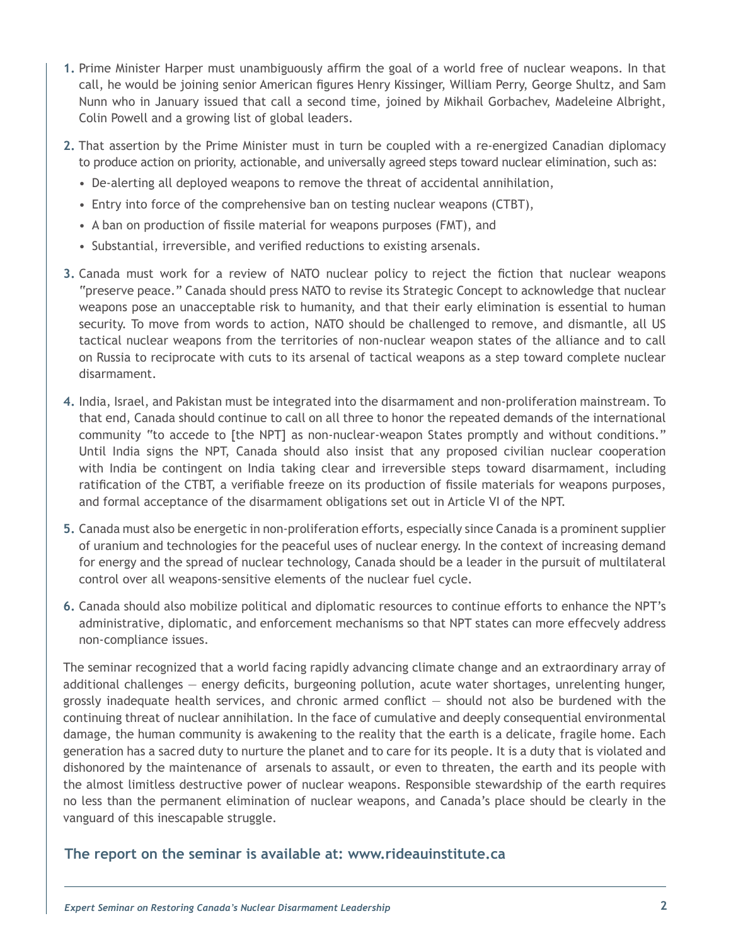- **1.** Prime Minister Harper must unambiguously affirm the goal of a world free of nuclear weapons. In that call, he would be joining senior American figures Henry Kissinger, William Perry, George Shultz, and Sam Nunn who in January issued that call a second time, joined by Mikhail Gorbachev, Madeleine Albright, Colin Powell and a growing list of global leaders.
- **2.** That assertion by the Prime Minister must in turn be coupled with a re-energized Canadian diplomacy to produce action on priority, actionable, and universally agreed steps toward nuclear elimination, such as:
	- De-alerting all deployed weapons to remove the threat of accidental annihilation,
	- Entry into force of the comprehensive ban on testing nuclear weapons (CTBT),
	- A ban on production of fissile material for weapons purposes (FMT), and
	- Substantial, irreversible, and verified reductions to existing arsenals.
- **3.** Canada must work for a review of NATO nuclear policy to reject the fiction that nuclear weapons "preserve peace." Canada should press NATO to revise its Strategic Concept to acknowledge that nuclear weapons pose an unacceptable risk to humanity, and that their early elimination is essential to human security. To move from words to action, NATO should be challenged to remove, and dismantle, all US tactical nuclear weapons from the territories of non-nuclear weapon states of the alliance and to call on Russia to reciprocate with cuts to its arsenal of tactical weapons as a step toward complete nuclear disarmament.
- **4.** India, Israel, and Pakistan must be integrated into the disarmament and non-proliferation mainstream. To that end, Canada should continue to call on all three to honor the repeated demands of the international community "to accede to [the NPT] as non-nuclear-weapon States promptly and without conditions." Until India signs the NPT, Canada should also insist that any proposed civilian nuclear cooperation with India be contingent on India taking clear and irreversible steps toward disarmament, including ratification of the CTBT, a verifiable freeze on its production of fissile materials for weapons purposes, and formal acceptance of the disarmament obligations set out in Article VI of the NPT.
- **5.** Canada must also be energetic in non-proliferation efforts, especially since Canada is a prominent supplier of uranium and technologies for the peaceful uses of nuclear energy. In the context of increasing demand for energy and the spread of nuclear technology, Canada should be a leader in the pursuit of multilateral control over all weapons-sensitive elements of the nuclear fuel cycle.
- **6.** Canada should also mobilize political and diplomatic resources to continue efforts to enhance the NPT's administrative, diplomatic, and enforcement mechanisms so that NPT states can more effecvely address non-compliance issues.

The seminar recognized that a world facing rapidly advancing climate change and an extraordinary array of additional challenges — energy deficits, burgeoning pollution, acute water shortages, unrelenting hunger, grossly inadequate health services, and chronic armed conflict — should not also be burdened with the continuing threat of nuclear annihilation. In the face of cumulative and deeply consequential environmental damage, the human community is awakening to the reality that the earth is a delicate, fragile home. Each generation has a sacred duty to nurture the planet and to care for its people. It is a duty that is violated and dishonored by the maintenance of arsenals to assault, or even to threaten, the earth and its people with the almost limitless destructive power of nuclear weapons. Responsible stewardship of the earth requires no less than the permanent elimination of nuclear weapons, and Canada's place should be clearly in the vanguard of this inescapable struggle.

#### **The report on the seminar is available at: www.rideauinstitute.ca**